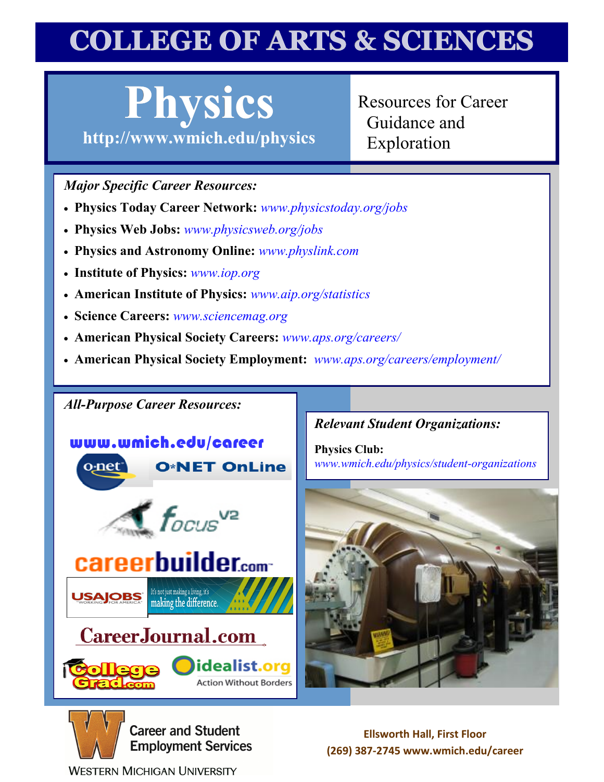# **COLLEGE OF ARTS & SCIENCES**

# **Physics**

**http://www[.wmich.edu/](http://www.wmich.edu/physics)physics**

Resources for Career Guidance and Exploration

#### *Major Specific Career Resources:*

- **Physics Today Career Network:** *[www.physicstoday.org/jobs](http://www.physicstoday.org/jobs)*
- **Physics Web Jobs:** *[www.physicsweb.org/jobs](http://www.physicsweb.org/jobs)*
- **Physics and Astronomy Online:** *[www.physlink.com](http://www.physlink.com)*
- **Institute of Physics:** *[www.iop.org](http://www.iop.org)*
- **American Institute of Physics:** *[www.aip.org/statistics](http://www.aip.org/statistics)*
- **Science Careers:** *[www.sciencemag.org](http://www.sciencemag.org)*
- **American Physical Society Careers:** *[www.aps.org/careers/](http://www.aps.org/careers/)*
- **American Physical Society Employment:** *[www.aps.org/careers/employment/](http://www.aps.org/careers/employment/)*

#### *All-Purpose Career Resources:*

#### www.wmich.edu/career **O\*NET OnLine** o<sub>:</sub>net





making the difference.

### Career Journal.com



#### *[Relevant Student Organizations:](http://www.wmich.edu/physics/student-organizations)*

**Physics Club:** *www.wmich.edu/physics/student-organizations*





**USAJOBS** 

**Career and Student Employment Services** 

**Ellsworth Hall, First Floor (269) 387-2745 www.wmich.edu/career**

**WESTERN MICHIGAN UNIVERSITY**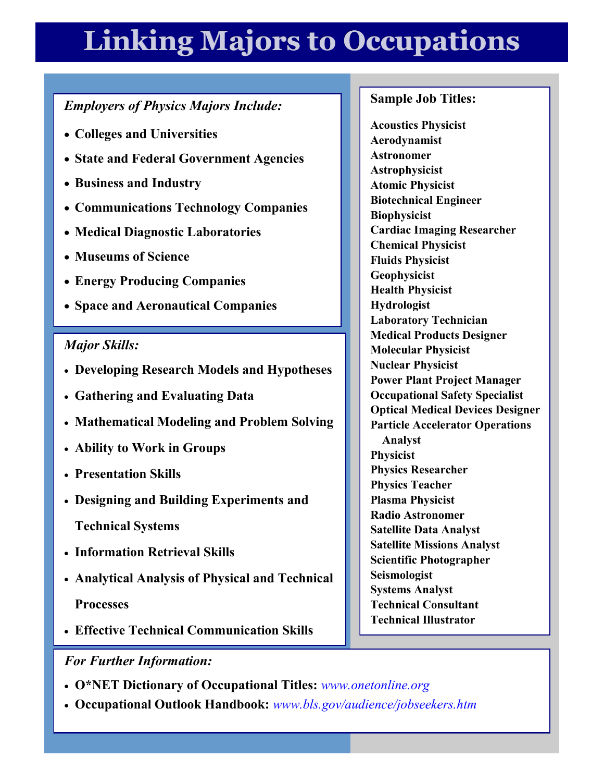## **Linking Majors to Occupations**

#### *Employers of Physics Majors Include:*

- **Colleges and Universities**
- **State and Federal Government Agencies**
- **Business and Industry**
- **Communications Technology Companies**
- **Medical Diagnostic Laboratories**
- **Museums of Science**
- **Energy Producing Companies**
- **Space and Aeronautical Companies**

#### *Major Skills:*

- **Developing Research Models and Hypotheses**
- **Gathering and Evaluating Data**
- **Mathematical Modeling and Problem Solving**
- **Ability to Work in Groups**
- **Presentation Skills**
- **Designing and Building Experiments and**
	- **Technical Systems**
- **Information Retrieval Skills**
- **Analytical Analysis of Physical and Technical Processes**
- **Effective Technical Communication Skills**

#### *For Further Information:*

- **O\*NET Dictionary of Occupational Titles:** *[www.onetonline.org](http://online.onetcenter.org/)*
- **Occupational Outlook Handbook:** *[www.bls.gov/audience/jobseekers.htm](http://www.bls.gov)*

#### **Sample Job Titles:**

**Acoustics Physicist Aerodynamist Astronomer Astrophysicist Atomic Physicist Biotechnical Engineer Biophysicist Cardiac Imaging Researcher Chemical Physicist Fluids Physicist Geophysicist Health Physicist Hydrologist Laboratory Technician Medical Products Designer Molecular Physicist Nuclear Physicist Power Plant Project Manager Occupational Safety Specialist Optical Medical Devices Designer Particle Accelerator Operations Analyst Physicist Physics Researcher Physics Teacher Plasma Physicist Radio Astronomer Satellite Data Analyst Satellite Missions Analyst Scientific Photographer Seismologist Systems Analyst Technical Consultant Technical Illustrator**